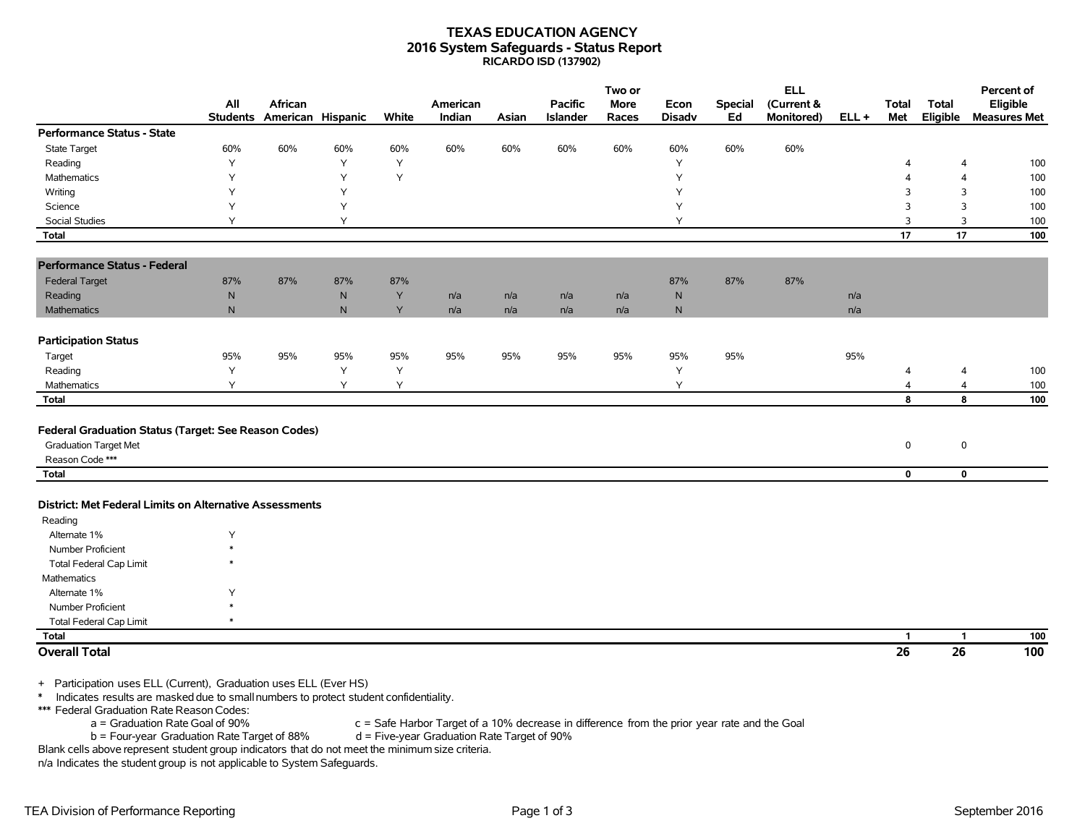## **TEXAS EDUCATION AGENCY 2016 System Safeguards - Status Report RICARDO ISD (137902)**

|                                                                                                                                                                                                                                                      |              |                                       |           |          |                                                                                              |       |                                   | Two or        |                       |                      | <b>ELL</b>               |      |                     |                            | Percent of                      |
|------------------------------------------------------------------------------------------------------------------------------------------------------------------------------------------------------------------------------------------------------|--------------|---------------------------------------|-----------|----------|----------------------------------------------------------------------------------------------|-------|-----------------------------------|---------------|-----------------------|----------------------|--------------------------|------|---------------------|----------------------------|---------------------------------|
|                                                                                                                                                                                                                                                      | All          | African<br>Students American Hispanic |           | White    | American<br>Indian                                                                           | Asian | <b>Pacific</b><br><b>Islander</b> | More<br>Races | Econ<br><b>Disadv</b> | <b>Special</b><br>Ed | (Current &<br>Monitored) | ELL+ | <b>Total</b><br>Met | Total<br>Eligible          | Eligible<br><b>Measures Met</b> |
| <b>Performance Status - State</b>                                                                                                                                                                                                                    |              |                                       |           |          |                                                                                              |       |                                   |               |                       |                      |                          |      |                     |                            |                                 |
| <b>State Target</b>                                                                                                                                                                                                                                  | 60%          | 60%                                   | 60%       | 60%      | 60%                                                                                          | 60%   | 60%                               | 60%           | 60%                   | 60%                  | 60%                      |      |                     |                            |                                 |
| Reading                                                                                                                                                                                                                                              | Υ            |                                       | Y         | Υ        |                                                                                              |       |                                   |               | Y                     |                      |                          |      | 4                   | $\overline{4}$             | 100                             |
| <b>Mathematics</b>                                                                                                                                                                                                                                   | Y            |                                       | Y         | Y        |                                                                                              |       |                                   |               | Y                     |                      |                          |      | 4                   | 4                          | 100                             |
| Writing                                                                                                                                                                                                                                              | Υ            |                                       | Y         |          |                                                                                              |       |                                   |               | Υ                     |                      |                          |      | 3                   | 3                          | 100                             |
| Science                                                                                                                                                                                                                                              | Y            |                                       | Y         |          |                                                                                              |       |                                   |               | Υ                     |                      |                          |      | 3                   | 3                          | 100                             |
| Social Studies                                                                                                                                                                                                                                       | Y            |                                       | Y         |          |                                                                                              |       |                                   |               | Υ                     |                      |                          |      | 3                   | 3                          | 100                             |
| <b>Total</b>                                                                                                                                                                                                                                         |              |                                       |           |          |                                                                                              |       |                                   |               |                       |                      |                          |      | 17                  | 17                         | 100                             |
| <b>Performance Status - Federal</b>                                                                                                                                                                                                                  |              |                                       |           |          |                                                                                              |       |                                   |               |                       |                      |                          |      |                     |                            |                                 |
| <b>Federal Target</b>                                                                                                                                                                                                                                | 87%          | 87%                                   | 87%       | 87%      |                                                                                              |       |                                   |               | 87%                   | 87%                  | 87%                      |      |                     |                            |                                 |
| Reading                                                                                                                                                                                                                                              | ${\sf N}$    |                                       | ${\sf N}$ | Y        | n/a                                                                                          | n/a   | n/a                               | n/a           | ${\sf N}$             |                      |                          | n/a  |                     |                            |                                 |
| Mathematics                                                                                                                                                                                                                                          | $\mathsf{N}$ |                                       | N         | Y        | n/a                                                                                          | n/a   | n/a                               | n/a           | $\mathsf{N}$          |                      |                          | n/a  |                     |                            |                                 |
|                                                                                                                                                                                                                                                      |              |                                       |           |          |                                                                                              |       |                                   |               |                       |                      |                          |      |                     |                            |                                 |
| <b>Participation Status</b>                                                                                                                                                                                                                          |              |                                       |           |          |                                                                                              |       |                                   |               | 95%                   |                      |                          |      |                     |                            |                                 |
| Target                                                                                                                                                                                                                                               | 95%<br>Υ     | 95%                                   | 95%<br>Υ  | 95%<br>Υ | 95%                                                                                          | 95%   | 95%                               | 95%           | Y                     | 95%                  |                          | 95%  |                     |                            |                                 |
| Reading<br>Mathematics                                                                                                                                                                                                                               | Y            |                                       | Y         | Y        |                                                                                              |       |                                   |               | Y                     |                      |                          |      | $\overline{4}$<br>4 | 4<br>4                     | 100                             |
| <b>Total</b>                                                                                                                                                                                                                                         |              |                                       |           |          |                                                                                              |       |                                   |               |                       |                      |                          |      | 8                   | 8                          | 100<br>100                      |
| Federal Graduation Status (Target: See Reason Codes)<br><b>Graduation Target Met</b><br>Reason Code ***                                                                                                                                              |              |                                       |           |          |                                                                                              |       |                                   |               |                       |                      |                          |      | 0                   | $\mathsf 0$<br>$\mathbf 0$ |                                 |
| <b>Total</b>                                                                                                                                                                                                                                         |              |                                       |           |          |                                                                                              |       |                                   |               |                       |                      |                          |      | $\mathbf 0$         |                            |                                 |
| District: Met Federal Limits on Alternative Assessments                                                                                                                                                                                              |              |                                       |           |          |                                                                                              |       |                                   |               |                       |                      |                          |      |                     |                            |                                 |
| Reading                                                                                                                                                                                                                                              |              |                                       |           |          |                                                                                              |       |                                   |               |                       |                      |                          |      |                     |                            |                                 |
| Alternate 1%                                                                                                                                                                                                                                         | Υ            |                                       |           |          |                                                                                              |       |                                   |               |                       |                      |                          |      |                     |                            |                                 |
| Number Proficient                                                                                                                                                                                                                                    | $\ast$       |                                       |           |          |                                                                                              |       |                                   |               |                       |                      |                          |      |                     |                            |                                 |
| Total Federal Cap Limit                                                                                                                                                                                                                              |              |                                       |           |          |                                                                                              |       |                                   |               |                       |                      |                          |      |                     |                            |                                 |
| Mathematics                                                                                                                                                                                                                                          |              |                                       |           |          |                                                                                              |       |                                   |               |                       |                      |                          |      |                     |                            |                                 |
| Alternate 1%                                                                                                                                                                                                                                         | Υ            |                                       |           |          |                                                                                              |       |                                   |               |                       |                      |                          |      |                     |                            |                                 |
| <b>Number Proficient</b>                                                                                                                                                                                                                             |              |                                       |           |          |                                                                                              |       |                                   |               |                       |                      |                          |      |                     |                            |                                 |
| <b>Total Federal Cap Limit</b>                                                                                                                                                                                                                       |              |                                       |           |          |                                                                                              |       |                                   |               |                       |                      |                          |      |                     |                            |                                 |
| <b>Total</b>                                                                                                                                                                                                                                         |              |                                       |           |          |                                                                                              |       |                                   |               |                       |                      |                          |      | 1                   | $\mathbf{1}$               | 100                             |
| <b>Overall Total</b>                                                                                                                                                                                                                                 |              |                                       |           |          |                                                                                              |       |                                   |               |                       |                      |                          |      | 26                  | 26                         | 100                             |
| + Participation uses ELL (Current), Graduation uses ELL (Ever HS)<br>Indicates results are masked due to small numbers to protect student confidentiality.<br>$\ast$<br>*** Federal Graduation Rate Reason Codes:<br>a = Graduation Rate Goal of 90% |              |                                       |           |          | c = Safe Harbor Target of a 10% decrease in difference from the prior year rate and the Goal |       |                                   |               |                       |                      |                          |      |                     |                            |                                 |
| b = Four-year Graduation Rate Target of 88%<br>Blank cells above represent student group indicators that do not meet the minimum size criteria.                                                                                                      |              |                                       |           |          | d = Five-year Graduation Rate Target of 90%                                                  |       |                                   |               |                       |                      |                          |      |                     |                            |                                 |

n/a Indicates the student group is not applicable to System Safeguards.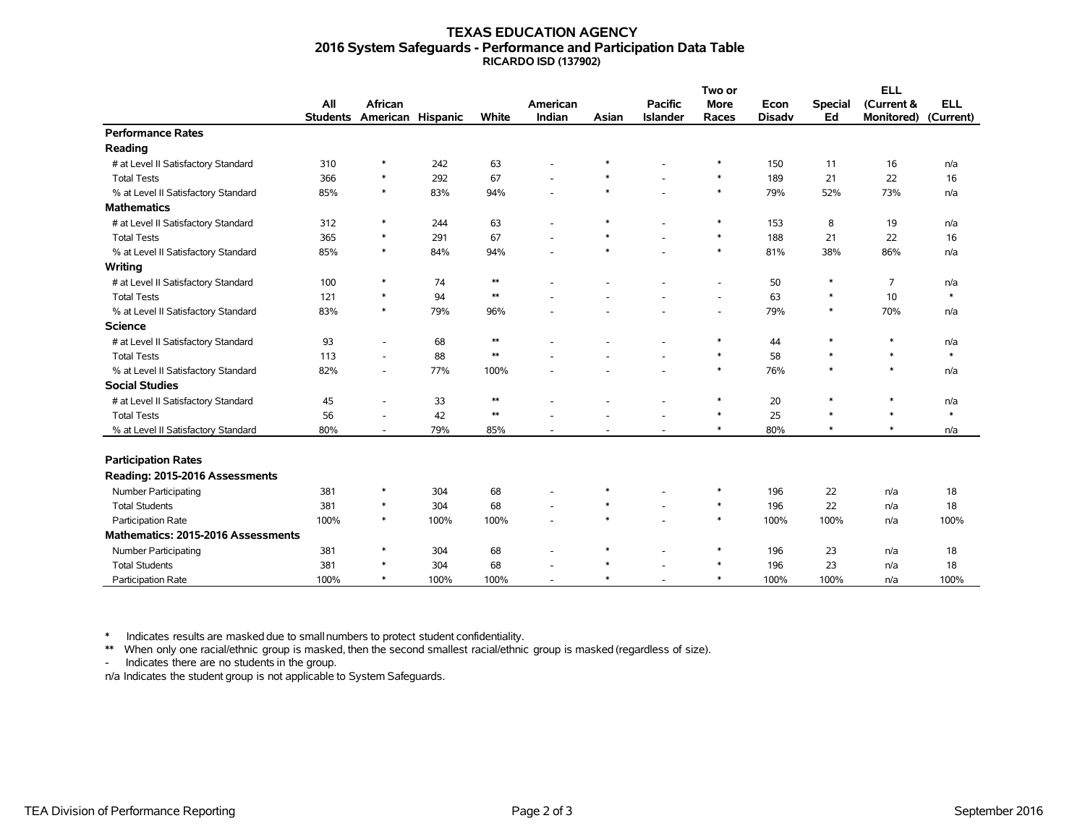## **TEXAS EDUCATION AGENCY 2016 System Safeguards - Performance and Participation Data Table RICARDO ISD (137902)**

|                                     |                 |                          |      |            |          |        | Two or          |                          |               | <b>ELL</b>     |                   |            |  |
|-------------------------------------|-----------------|--------------------------|------|------------|----------|--------|-----------------|--------------------------|---------------|----------------|-------------------|------------|--|
|                                     | All             | <b>African</b>           |      |            | American |        | <b>Pacific</b>  | <b>More</b>              | Econ          | <b>Special</b> | (Current &        | <b>ELL</b> |  |
|                                     | <b>Students</b> | American Hispanic        |      | White      | Indian   | Asian  | <b>Islander</b> | Races                    | <b>Disadv</b> | Ed             | <b>Monitored)</b> | (Current)  |  |
| <b>Performance Rates</b>            |                 |                          |      |            |          |        |                 |                          |               |                |                   |            |  |
| Reading                             |                 |                          |      |            |          |        |                 |                          |               |                |                   |            |  |
| # at Level II Satisfactory Standard | 310             | $\ast$                   | 242  | 63         |          | $\ast$ |                 | $\ast$                   | 150           | 11             | 16                | n/a        |  |
| <b>Total Tests</b>                  | 366             | $\ast$                   | 292  | 67         |          | $\ast$ |                 | $\ast$                   | 189           | 21             | 22                | 16         |  |
| % at Level II Satisfactory Standard | 85%             | $\ast$                   | 83%  | 94%        |          | $\ast$ |                 | $\ast$                   | 79%           | 52%            | 73%               | n/a        |  |
| <b>Mathematics</b>                  |                 |                          |      |            |          |        |                 |                          |               |                |                   |            |  |
| # at Level II Satisfactory Standard | 312             | *                        | 244  | 63         |          | $\ast$ |                 | $\ast$                   | 153           | 8              | 19                | n/a        |  |
| <b>Total Tests</b>                  | 365             | $\ast$                   | 291  | 67         |          | $\ast$ |                 | $\ast$                   | 188           | 21             | 22                | 16         |  |
| % at Level II Satisfactory Standard | 85%             | $\ast$                   | 84%  | 94%        |          | $\ast$ |                 | $\ast$                   | 81%           | 38%            | 86%               | n/a        |  |
| Writing                             |                 |                          |      |            |          |        |                 |                          |               |                |                   |            |  |
| # at Level II Satisfactory Standard | 100             | $\ast$                   | 74   | $\ast\ast$ |          |        |                 | $\overline{\phantom{a}}$ | 50            | $\ast$         | $\overline{7}$    | n/a        |  |
| <b>Total Tests</b>                  | 121             | $\ast$                   | 94   | $\ast\ast$ |          |        |                 | $\overline{\phantom{a}}$ | 63            | $\ast$         | 10                | $\ast$     |  |
| % at Level II Satisfactory Standard | 83%             | $\ast$                   | 79%  | 96%        |          |        |                 | $\overline{\phantom{a}}$ | 79%           | $\ast$         | 70%               | n/a        |  |
| <b>Science</b>                      |                 |                          |      |            |          |        |                 |                          |               |                |                   |            |  |
| # at Level II Satisfactory Standard | 93              | $\overline{\phantom{a}}$ | 68   | $\ast\ast$ |          |        |                 | $\ast$                   | 44            | $\ast$         | $\ast$            | n/a        |  |
| <b>Total Tests</b>                  | 113             | ۰                        | 88   | $\ast\ast$ |          |        |                 | $\ast$                   | 58            | $\ast$         | $\ast$            | $\ast$     |  |
| % at Level II Satisfactory Standard | 82%             | $\overline{\phantom{a}}$ | 77%  | 100%       |          |        |                 | $\ast$                   | 76%           | $\ast$         | $\ast$            | n/a        |  |
| <b>Social Studies</b>               |                 |                          |      |            |          |        |                 |                          |               |                |                   |            |  |
| # at Level II Satisfactory Standard | 45              | ۰                        | 33   | $\ast\ast$ |          |        |                 | $\ast$                   | 20            | $\ast$         | $\ast$            | n/a        |  |
| <b>Total Tests</b>                  | 56              | ۰                        | 42   | $\ast\ast$ |          |        |                 | $\ast$                   | 25            | $\ast$         | $\ast$            | $\ast$     |  |
| % at Level II Satisfactory Standard | 80%             | ۰                        | 79%  | 85%        |          |        |                 | $\ast$                   | 80%           | $\ast$         | $\ast$            | n/a        |  |
|                                     |                 |                          |      |            |          |        |                 |                          |               |                |                   |            |  |
| <b>Participation Rates</b>          |                 |                          |      |            |          |        |                 |                          |               |                |                   |            |  |
| Reading: 2015-2016 Assessments      |                 |                          |      |            |          |        |                 |                          |               |                |                   |            |  |
| <b>Number Participating</b>         | 381             | $\ast$                   | 304  | 68         |          | $\ast$ |                 | $\ast$                   | 196           | 22             | n/a               | 18         |  |
| <b>Total Students</b>               | 381             | $\ast$                   | 304  | 68         |          | $\ast$ |                 | $\ast$                   | 196           | 22             | n/a               | 18         |  |
| Participation Rate                  | 100%            | $\ast$                   | 100% | 100%       |          | $\ast$ |                 | $\ast$                   | 100%          | 100%           | n/a               | 100%       |  |
| Mathematics: 2015-2016 Assessments  |                 |                          |      |            |          |        |                 |                          |               |                |                   |            |  |
| Number Participating                | 381             | $\ast$                   | 304  | 68         |          | $\ast$ |                 | $\ast$                   | 196           | 23             | n/a               | 18         |  |
| <b>Total Students</b>               | 381             | $\ast$                   | 304  | 68         |          | $\ast$ |                 | $\ast$                   | 196           | 23             | n/a               | 18         |  |
| <b>Participation Rate</b>           | 100%            | $\ast$                   | 100% | 100%       |          | $\ast$ |                 | $\ast$                   | 100%          | 100%           | n/a               | 100%       |  |

\* Indicates results are masked due to smallnumbers to protect student confidentiality.

\*\* When only one racial/ethnic group is masked, then the second smallest racial/ethnic group is masked (regardless of size).

- Indicates there are no students in the group.

n/a Indicates the student group is not applicable to System Safeguards.